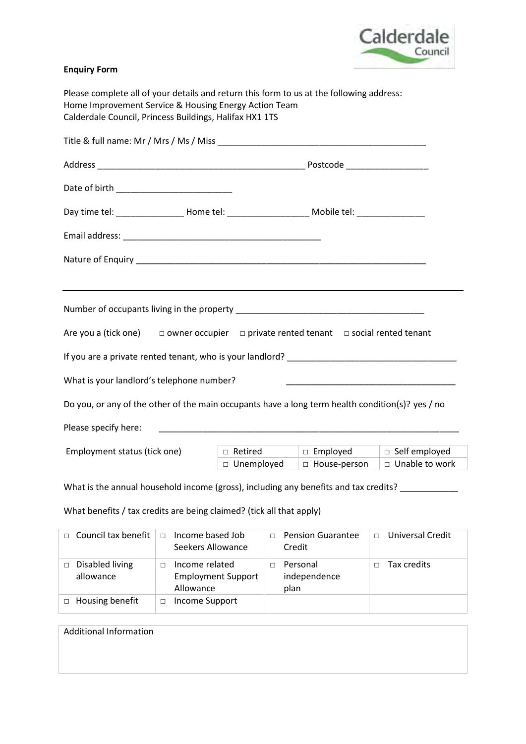

## **Enquiry Form**

| Please complete all of your details and return this form to us at the following address:<br>Home Improvement Service & Housing Energy Action Team<br>Calderdale Council, Princess Buildings, Halifax HX1 1TS |              |                                                     |                  |  |  |
|--------------------------------------------------------------------------------------------------------------------------------------------------------------------------------------------------------------|--------------|-----------------------------------------------------|------------------|--|--|
|                                                                                                                                                                                                              |              |                                                     |                  |  |  |
|                                                                                                                                                                                                              |              |                                                     |                  |  |  |
|                                                                                                                                                                                                              |              |                                                     |                  |  |  |
| Day time tel: ____________________ Home tel: ___________________________Mobile tel: ________________                                                                                                         |              |                                                     |                  |  |  |
|                                                                                                                                                                                                              |              |                                                     |                  |  |  |
|                                                                                                                                                                                                              |              |                                                     |                  |  |  |
|                                                                                                                                                                                                              |              |                                                     |                  |  |  |
|                                                                                                                                                                                                              |              |                                                     |                  |  |  |
| Are you a (tick one) $\Box$ owner occupier $\Box$ private rented tenant $\Box$ social rented tenant                                                                                                          |              |                                                     |                  |  |  |
|                                                                                                                                                                                                              |              |                                                     |                  |  |  |
| What is your landlord's telephone number?                                                                                                                                                                    |              |                                                     |                  |  |  |
| Do you, or any of the other of the main occupants have a long term health condition(s)? yes / no                                                                                                             |              |                                                     |                  |  |  |
| Please specify here:                                                                                                                                                                                         |              |                                                     |                  |  |  |
| Employment status (tick one)                                                                                                                                                                                 |              | $\Box$ Retired $\Box$ Employed $\Box$ Self employed |                  |  |  |
|                                                                                                                                                                                                              | □ Unemployed | $\Box$ House-person                                 | □ Unable to work |  |  |
| What is the annual household income (gross), including any benefits and tax credits?                                                                                                                         |              |                                                     |                  |  |  |
| What benefits / tax credits are being claimed? (tick all that apply)                                                                                                                                         |              |                                                     |                  |  |  |

| $\Box$ | Council tax benefit          | $\Box$ | Income based Job<br>Seekers Allowance                    | п | <b>Pension Guarantee</b><br>Credit | $\Box$ | Universal Credit |
|--------|------------------------------|--------|----------------------------------------------------------|---|------------------------------------|--------|------------------|
|        | Disabled living<br>allowance | П.     | Income related<br><b>Employment Support</b><br>Allowance |   | Personal<br>independence<br>plan   |        | Tax credits      |
| $\Box$ | Housing benefit              | п      | Income Support                                           |   |                                    |        |                  |

| <b>Additional Information</b> |  |
|-------------------------------|--|
|                               |  |
|                               |  |
|                               |  |
|                               |  |
|                               |  |